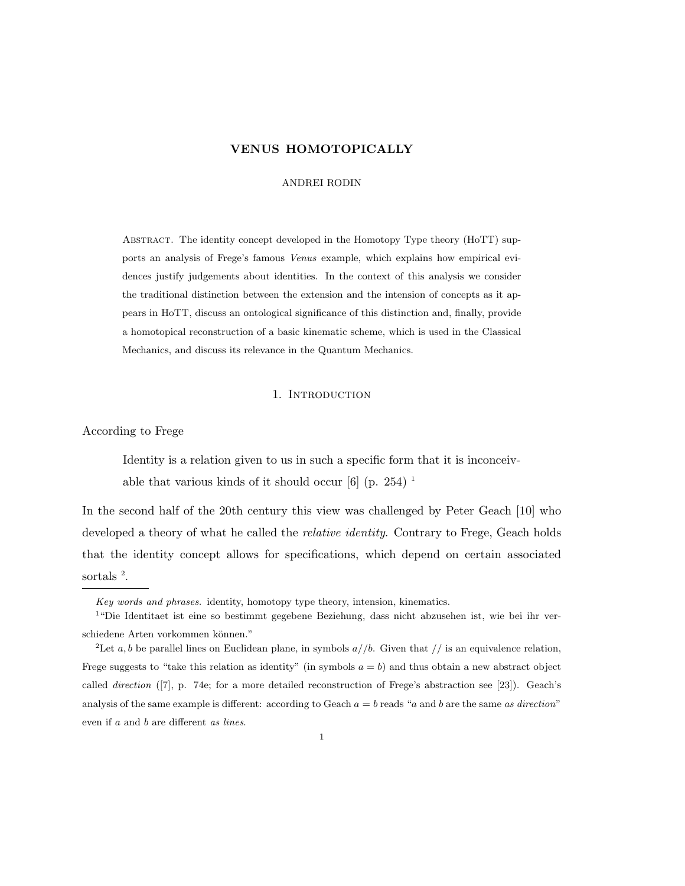### ANDREI RODIN

Abstract. The identity concept developed in the Homotopy Type theory (HoTT) supports an analysis of Frege's famous Venus example, which explains how empirical evidences justify judgements about identities. In the context of this analysis we consider the traditional distinction between the extension and the intension of concepts as it appears in HoTT, discuss an ontological significance of this distinction and, finally, provide a homotopical reconstruction of a basic kinematic scheme, which is used in the Classical Mechanics, and discuss its relevance in the Quantum Mechanics.

# 1. INTRODUCTION

According to Frege

Identity is a relation given to us in such a specific form that it is inconceivable that various kinds of it should occur  $[6]$  (p. 254)<sup>1</sup>

In the second half of the 20th century this view was challenged by Peter Geach [10] who developed a theory of what he called the *relative identity*. Contrary to Frege, Geach holds that the identity concept allows for specifications, which depend on certain associated sortals<sup>2</sup>.

Key words and phrases. identity, homotopy type theory, intension, kinematics.

<sup>&</sup>lt;sup>1</sup> "Die Identitaet ist eine so bestimmt gegebene Beziehung, dass nicht abzusehen ist, wie bei ihr verschiedene Arten vorkommen können."

<sup>&</sup>lt;sup>2</sup>Let a, b be parallel lines on Euclidean plane, in symbols  $a//b$ . Given that // is an equivalence relation, Frege suggests to "take this relation as identity" (in symbols  $a = b$ ) and thus obtain a new abstract object called direction ([7], p. 74e; for a more detailed reconstruction of Frege's abstraction see [23]). Geach's analysis of the same example is different: according to Geach  $a = b$  reads "a and b are the same as direction" even if a and b are different as lines.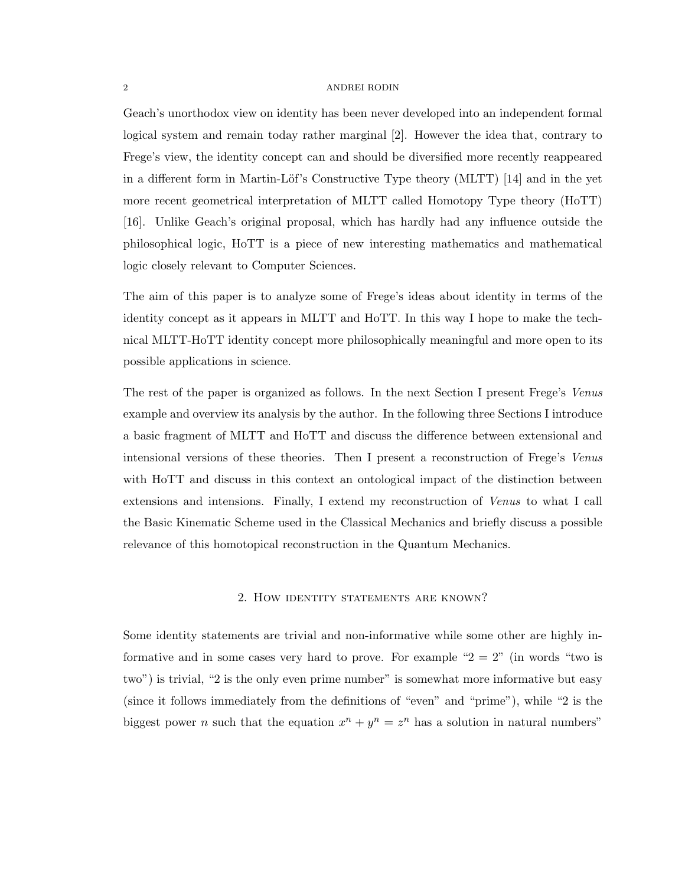Geach's unorthodox view on identity has been never developed into an independent formal logical system and remain today rather marginal [2]. However the idea that, contrary to Frege's view, the identity concept can and should be diversified more recently reappeared in a different form in Martin-Löf's Constructive Type theory (MLTT)  $[14]$  and in the yet more recent geometrical interpretation of MLTT called Homotopy Type theory (HoTT) [16]. Unlike Geach's original proposal, which has hardly had any influence outside the philosophical logic, HoTT is a piece of new interesting mathematics and mathematical logic closely relevant to Computer Sciences.

The aim of this paper is to analyze some of Frege's ideas about identity in terms of the identity concept as it appears in MLTT and HoTT. In this way I hope to make the technical MLTT-HoTT identity concept more philosophically meaningful and more open to its possible applications in science.

The rest of the paper is organized as follows. In the next Section I present Frege's Venus example and overview its analysis by the author. In the following three Sections I introduce a basic fragment of MLTT and HoTT and discuss the difference between extensional and intensional versions of these theories. Then I present a reconstruction of Frege's Venus with HoTT and discuss in this context an ontological impact of the distinction between extensions and intensions. Finally, I extend my reconstruction of Venus to what I call the Basic Kinematic Scheme used in the Classical Mechanics and briefly discuss a possible relevance of this homotopical reconstruction in the Quantum Mechanics.

# 2. How identity statements are known?

Some identity statements are trivial and non-informative while some other are highly informative and in some cases very hard to prove. For example " $2 = 2$ " (in words "two is two") is trivial, "2 is the only even prime number" is somewhat more informative but easy (since it follows immediately from the definitions of "even" and "prime"), while "2 is the biggest power *n* such that the equation  $x^n + y^n = z^n$  has a solution in natural numbers"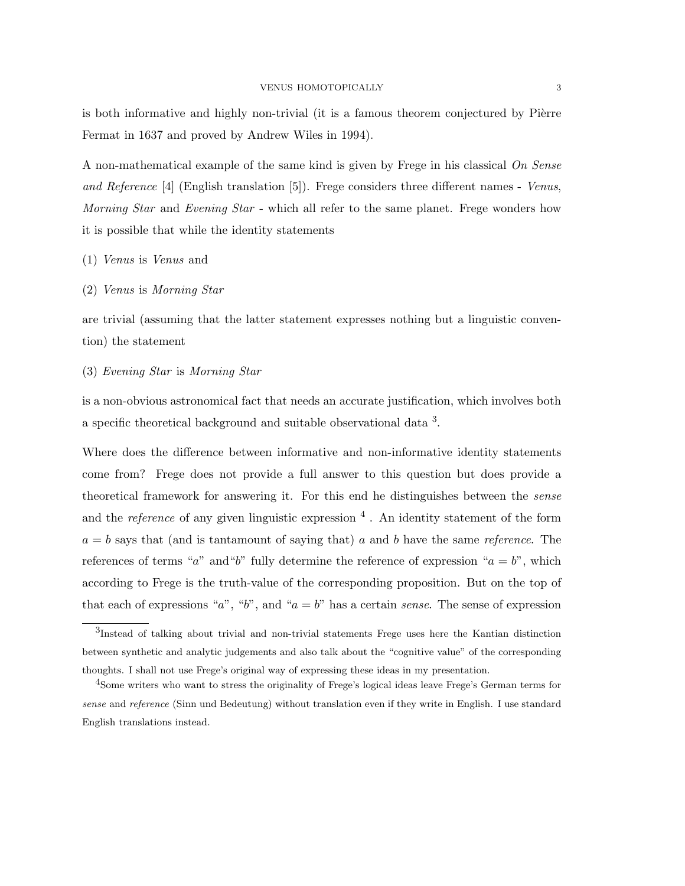is both informative and highly non-trivial (it is a famous theorem conjectured by Pièrre Fermat in 1637 and proved by Andrew Wiles in 1994).

A non-mathematical example of the same kind is given by Frege in his classical On Sense and Reference [4] (English translation [5]). Frege considers three different names - Venus, Morning Star and Evening Star - which all refer to the same planet. Frege wonders how it is possible that while the identity statements

- (1) Venus is Venus and
- (2) Venus is Morning Star

are trivial (assuming that the latter statement expresses nothing but a linguistic convention) the statement

(3) Evening Star is Morning Star

is a non-obvious astronomical fact that needs an accurate justification, which involves both a specific theoretical background and suitable observational data  $3$ .

Where does the difference between informative and non-informative identity statements come from? Frege does not provide a full answer to this question but does provide a theoretical framework for answering it. For this end he distinguishes between the sense and the *reference* of any given linguistic expression  $\frac{4}{3}$ . An identity statement of the form  $a = b$  says that (and is tantamount of saying that) a and b have the same reference. The references of terms "a" and "b" fully determine the reference of expression " $a = b$ ", which according to Frege is the truth-value of the corresponding proposition. But on the top of that each of expressions "a", "b", and " $a = b$ " has a certain sense. The sense of expression

<sup>3</sup> Instead of talking about trivial and non-trivial statements Frege uses here the Kantian distinction between synthetic and analytic judgements and also talk about the "cognitive value" of the corresponding thoughts. I shall not use Frege's original way of expressing these ideas in my presentation.

<sup>4</sup>Some writers who want to stress the originality of Frege's logical ideas leave Frege's German terms for sense and reference (Sinn und Bedeutung) without translation even if they write in English. I use standard English translations instead.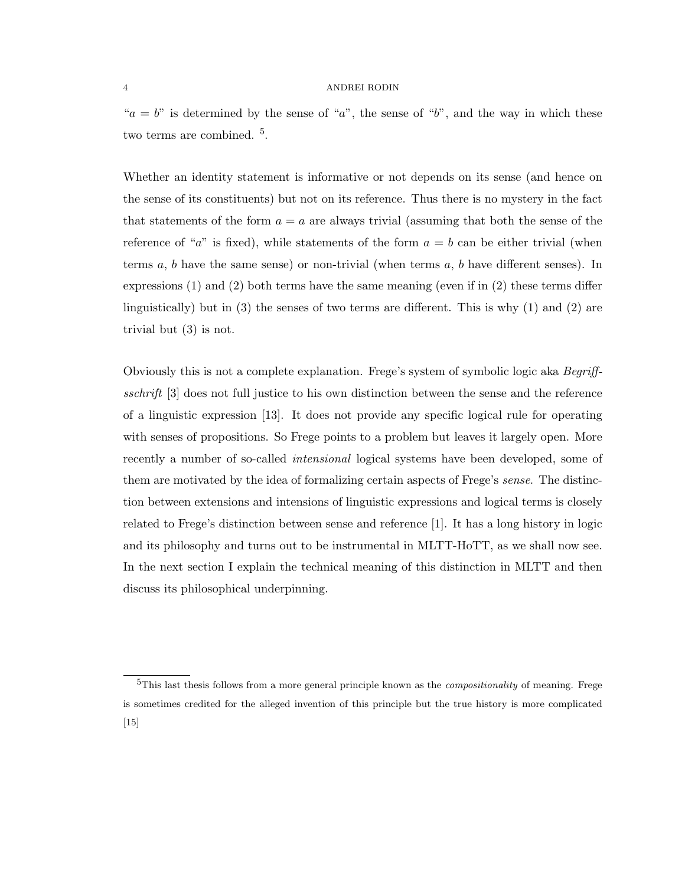" $a = b$ " is determined by the sense of "a", the sense of "b", and the way in which these two terms are combined.<sup>5</sup>.

Whether an identity statement is informative or not depends on its sense (and hence on the sense of its constituents) but not on its reference. Thus there is no mystery in the fact that statements of the form  $a = a$  are always trivial (assuming that both the sense of the reference of "a" is fixed), while statements of the form  $a = b$  can be either trivial (when terms  $a, b$  have the same sense) or non-trivial (when terms  $a, b$  have different senses). In expressions (1) and (2) both terms have the same meaning (even if in (2) these terms differ linguistically) but in (3) the senses of two terms are different. This is why (1) and (2) are trivial but (3) is not.

Obviously this is not a complete explanation. Frege's system of symbolic logic aka Begriffsschrift [3] does not full justice to his own distinction between the sense and the reference of a linguistic expression [13]. It does not provide any specific logical rule for operating with senses of propositions. So Frege points to a problem but leaves it largely open. More recently a number of so-called *intensional* logical systems have been developed, some of them are motivated by the idea of formalizing certain aspects of Frege's sense. The distinction between extensions and intensions of linguistic expressions and logical terms is closely related to Frege's distinction between sense and reference [1]. It has a long history in logic and its philosophy and turns out to be instrumental in MLTT-HoTT, as we shall now see. In the next section I explain the technical meaning of this distinction in MLTT and then discuss its philosophical underpinning.

 $5$ This last thesis follows from a more general principle known as the *compositionality* of meaning. Frege is sometimes credited for the alleged invention of this principle but the true history is more complicated  $\vert 15 \vert$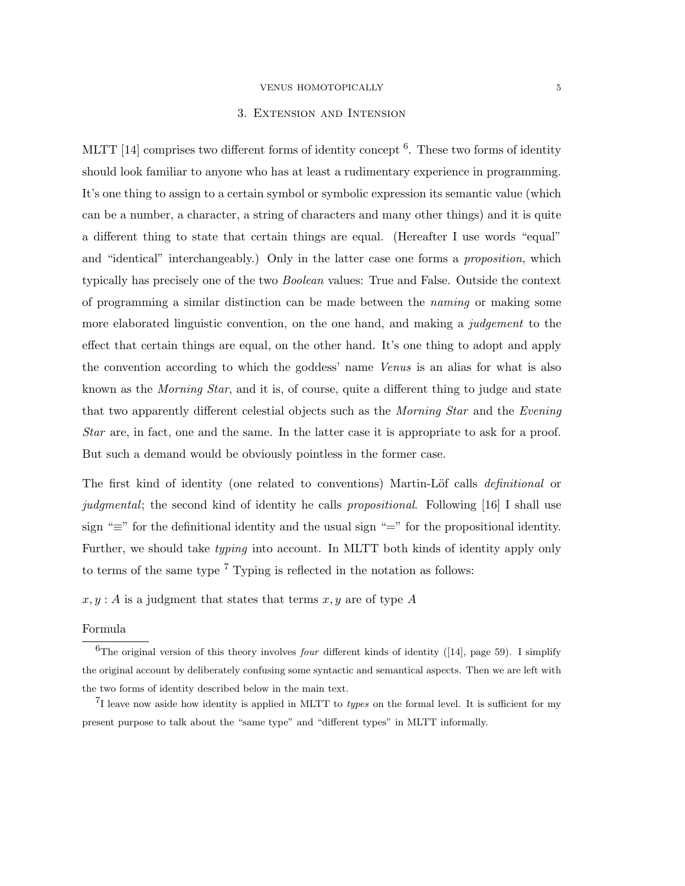# 3. Extension and Intension

MLTT [14] comprises two different forms of identity concept <sup>6</sup>. These two forms of identity should look familiar to anyone who has at least a rudimentary experience in programming. It's one thing to assign to a certain symbol or symbolic expression its semantic value (which can be a number, a character, a string of characters and many other things) and it is quite a different thing to state that certain things are equal. (Hereafter I use words "equal" and "identical" interchangeably.) Only in the latter case one forms a *proposition*, which typically has precisely one of the two Boolean values: True and False. Outside the context of programming a similar distinction can be made between the naming or making some more elaborated linguistic convention, on the one hand, and making a *judgement* to the effect that certain things are equal, on the other hand. It's one thing to adopt and apply the convention according to which the goddess' name Venus is an alias for what is also known as the *Morning Star*, and it is, of course, quite a different thing to judge and state that two apparently different celestial objects such as the *Morning Star* and the *Evening* Star are, in fact, one and the same. In the latter case it is appropriate to ask for a proof. But such a demand would be obviously pointless in the former case.

The first kind of identity (one related to conventions) Martin-Löf calls *definitional* or judgmental; the second kind of identity he calls propositional. Following [16] I shall use sign "≡" for the definitional identity and the usual sign "=" for the propositional identity. Further, we should take typing into account. In MLTT both kinds of identity apply only to terms of the same type  $7$  Typing is reflected in the notation as follows:

 $x, y$ : A is a judgment that states that terms  $x, y$  are of type A

## Formula

<sup>&</sup>lt;sup>6</sup>The original version of this theory involves *four* different kinds of identity ([14], page 59). I simplify the original account by deliberately confusing some syntactic and semantical aspects. Then we are left with the two forms of identity described below in the main text.

 $^{7}$ I leave now aside how identity is applied in MLTT to *types* on the formal level. It is sufficient for my present purpose to talk about the "same type" and "different types" in MLTT informally.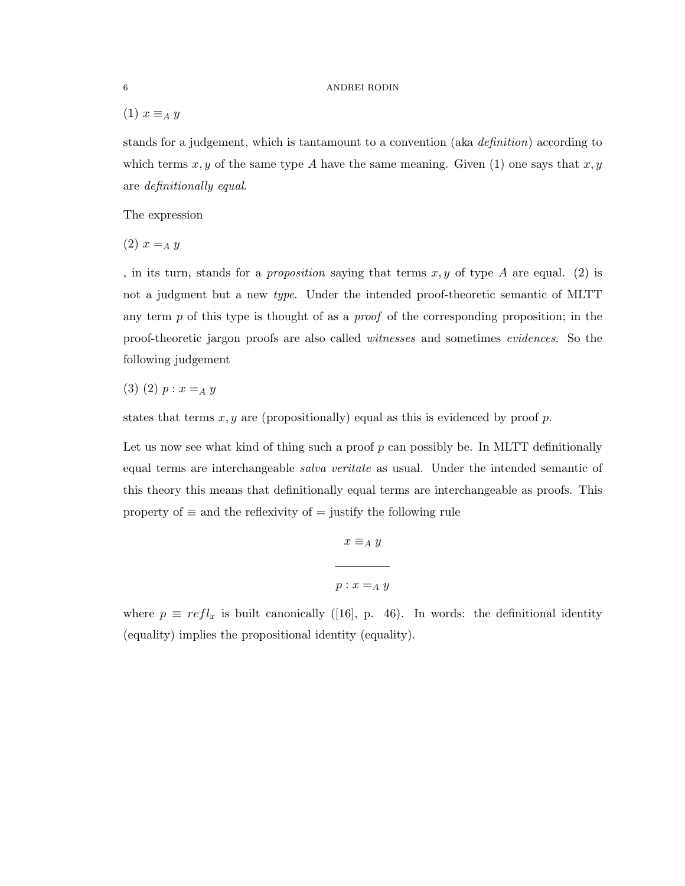(1)  $x \equiv_A y$ 

stands for a judgement, which is tantamount to a convention (aka definition) according to which terms x, y of the same type A have the same meaning. Given  $(1)$  one says that x, y are definitionally equal.

The expression

 $(2) x =_A y$ 

, in its turn, stands for a *proposition* saying that terms  $x, y$  of type  $A$  are equal. (2) is not a judgment but a new type. Under the intended proof-theoretic semantic of MLTT any term  $p$  of this type is thought of as a *proof* of the corresponding proposition; in the proof-theoretic jargon proofs are also called witnesses and sometimes evidences. So the following judgement

$$
(3) (2) p : x =_A y
$$

states that terms  $x, y$  are (propositionally) equal as this is evidenced by proof p.

Let us now see what kind of thing such a proof  $p$  can possibly be. In MLTT definitionally equal terms are interchangeable *salva veritate* as usual. Under the intended semantic of this theory this means that definitionally equal terms are interchangeable as proofs. This property of  $\equiv$  and the reflexivity of  $=$  justify the following rule

$$
x \equiv_A y
$$
  

$$
p: x =_A y
$$

where  $p \equiv refl_x$  is built canonically ([16], p. 46). In words: the definitional identity (equality) implies the propositional identity (equality).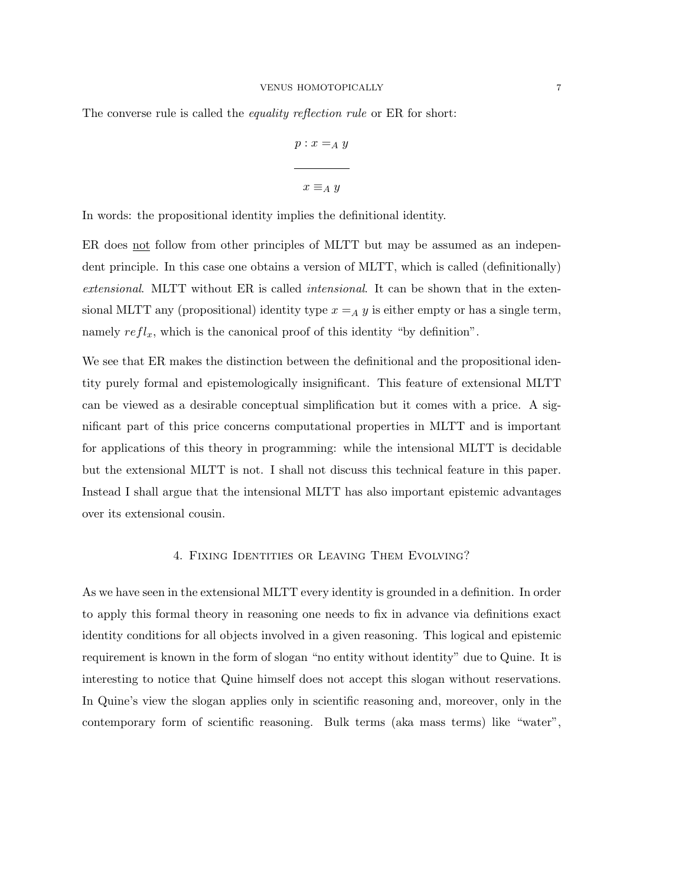The converse rule is called the *equality reflection rule* or ER for short:

$$
p: x =_A y
$$
  
 
$$
x \equiv_A y
$$

In words: the propositional identity implies the definitional identity.

ER does not follow from other principles of MLTT but may be assumed as an independent principle. In this case one obtains a version of MLTT, which is called (definitionally) extensional. MLTT without ER is called intensional. It can be shown that in the extensional MLTT any (propositional) identity type  $x =_A y$  is either empty or has a single term, namely  $refl_x$ , which is the canonical proof of this identity "by definition".

We see that ER makes the distinction between the definitional and the propositional identity purely formal and epistemologically insignificant. This feature of extensional MLTT can be viewed as a desirable conceptual simplification but it comes with a price. A significant part of this price concerns computational properties in MLTT and is important for applications of this theory in programming: while the intensional MLTT is decidable but the extensional MLTT is not. I shall not discuss this technical feature in this paper. Instead I shall argue that the intensional MLTT has also important epistemic advantages over its extensional cousin.

## 4. Fixing Identities or Leaving Them Evolving?

As we have seen in the extensional MLTT every identity is grounded in a definition. In order to apply this formal theory in reasoning one needs to fix in advance via definitions exact identity conditions for all objects involved in a given reasoning. This logical and epistemic requirement is known in the form of slogan "no entity without identity" due to Quine. It is interesting to notice that Quine himself does not accept this slogan without reservations. In Quine's view the slogan applies only in scientific reasoning and, moreover, only in the contemporary form of scientific reasoning. Bulk terms (aka mass terms) like "water",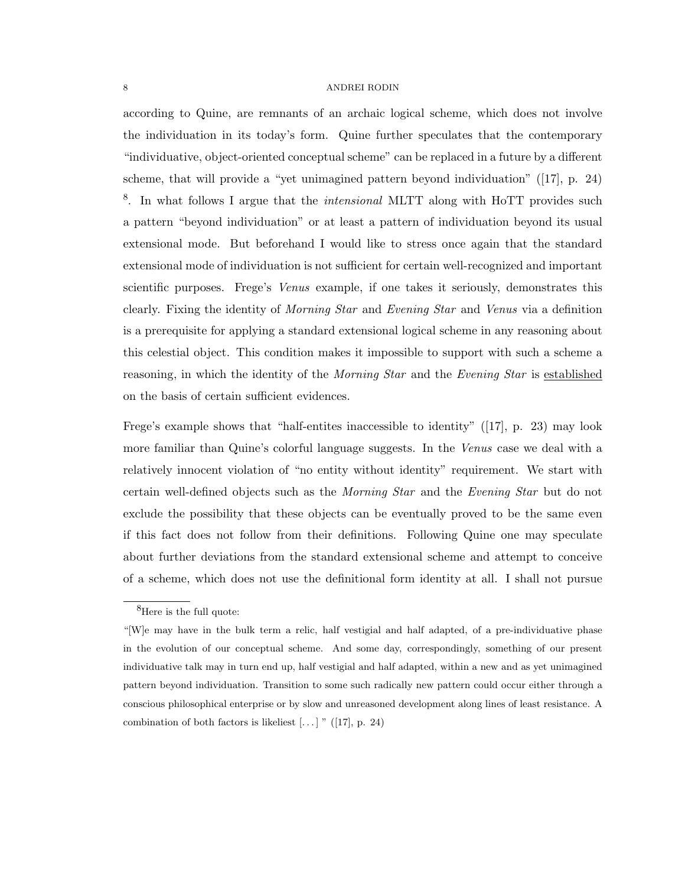according to Quine, are remnants of an archaic logical scheme, which does not involve the individuation in its today's form. Quine further speculates that the contemporary "individuative, object-oriented conceptual scheme" can be replaced in a future by a different scheme, that will provide a "yet unimagined pattern beyond individuation" ([17], p. 24) <sup>8</sup>. In what follows I argue that the *intensional* MLTT along with HoTT provides such a pattern "beyond individuation" or at least a pattern of individuation beyond its usual extensional mode. But beforehand I would like to stress once again that the standard extensional mode of individuation is not sufficient for certain well-recognized and important scientific purposes. Frege's *Venus* example, if one takes it seriously, demonstrates this clearly. Fixing the identity of Morning Star and Evening Star and Venus via a definition is a prerequisite for applying a standard extensional logical scheme in any reasoning about this celestial object. This condition makes it impossible to support with such a scheme a reasoning, in which the identity of the *Morning Star* and the *Evening Star* is established on the basis of certain sufficient evidences.

Frege's example shows that "half-entites inaccessible to identity" ([17], p. 23) may look more familiar than Quine's colorful language suggests. In the Venus case we deal with a relatively innocent violation of "no entity without identity" requirement. We start with certain well-defined objects such as the Morning Star and the Evening Star but do not exclude the possibility that these objects can be eventually proved to be the same even if this fact does not follow from their definitions. Following Quine one may speculate about further deviations from the standard extensional scheme and attempt to conceive of a scheme, which does not use the definitional form identity at all. I shall not pursue

 ${}^{8}$ Here is the full quote:

<sup>&</sup>quot;[W]e may have in the bulk term a relic, half vestigial and half adapted, of a pre-individuative phase in the evolution of our conceptual scheme. And some day, correspondingly, something of our present individuative talk may in turn end up, half vestigial and half adapted, within a new and as yet unimagined pattern beyond individuation. Transition to some such radically new pattern could occur either through a conscious philosophical enterprise or by slow and unreasoned development along lines of least resistance. A combination of both factors is likeliest  $\left[\ldots\right]$  " ([17], p. 24)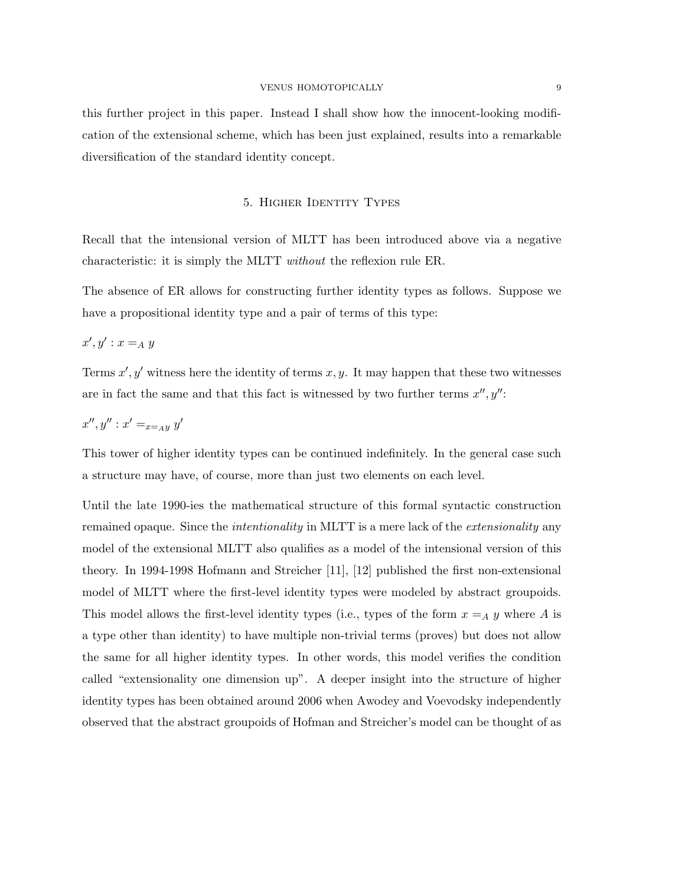this further project in this paper. Instead I shall show how the innocent-looking modification of the extensional scheme, which has been just explained, results into a remarkable diversification of the standard identity concept.

# 5. Higher Identity Types

Recall that the intensional version of MLTT has been introduced above via a negative characteristic: it is simply the MLTT without the reflexion rule ER.

The absence of ER allows for constructing further identity types as follows. Suppose we have a propositional identity type and a pair of terms of this type:

 $x', y' : x =_A y$ 

Terms  $x', y'$  witness here the identity of terms  $x, y$ . It may happen that these two witnesses are in fact the same and that this fact is witnessed by two further terms  $x'', y''$ :

$$
x'',y'':x' =_{x =_A y} y'
$$

This tower of higher identity types can be continued indefinitely. In the general case such a structure may have, of course, more than just two elements on each level.

Until the late 1990-ies the mathematical structure of this formal syntactic construction remained opaque. Since the *intentionality* in MLTT is a mere lack of the *extensionality* any model of the extensional MLTT also qualifies as a model of the intensional version of this theory. In 1994-1998 Hofmann and Streicher [11], [12] published the first non-extensional model of MLTT where the first-level identity types were modeled by abstract groupoids. This model allows the first-level identity types (i.e., types of the form  $x =_A y$  where A is a type other than identity) to have multiple non-trivial terms (proves) but does not allow the same for all higher identity types. In other words, this model verifies the condition called "extensionality one dimension up". A deeper insight into the structure of higher identity types has been obtained around 2006 when Awodey and Voevodsky independently observed that the abstract groupoids of Hofman and Streicher's model can be thought of as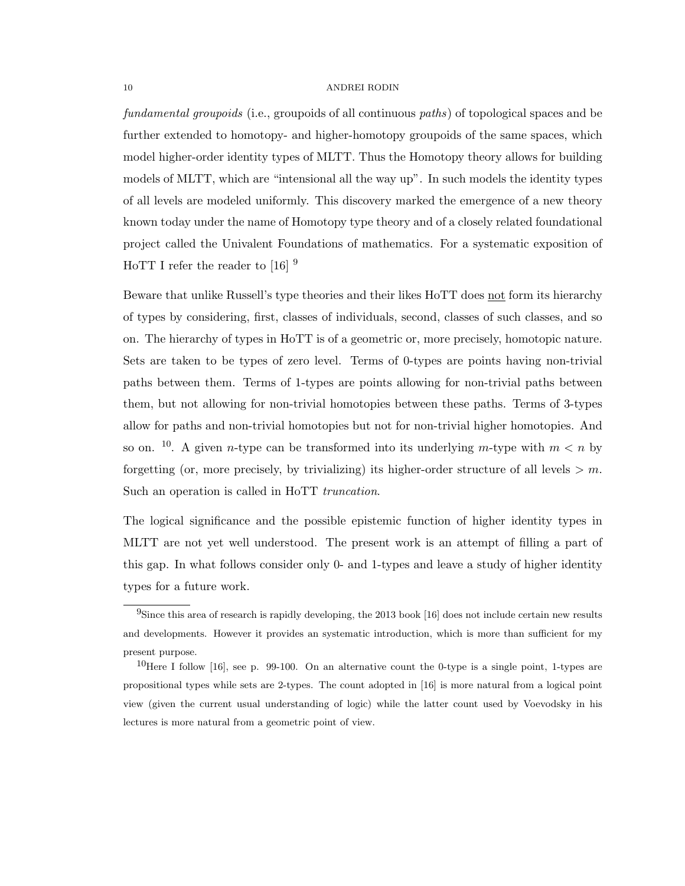fundamental groupoids (i.e., groupoids of all continuous paths) of topological spaces and be further extended to homotopy- and higher-homotopy groupoids of the same spaces, which model higher-order identity types of MLTT. Thus the Homotopy theory allows for building models of MLTT, which are "intensional all the way up". In such models the identity types of all levels are modeled uniformly. This discovery marked the emergence of a new theory known today under the name of Homotopy type theory and of a closely related foundational project called the Univalent Foundations of mathematics. For a systematic exposition of HoTT I refer the reader to [16]  $^9$ 

Beware that unlike Russell's type theories and their likes HoTT does not form its hierarchy of types by considering, first, classes of individuals, second, classes of such classes, and so on. The hierarchy of types in HoTT is of a geometric or, more precisely, homotopic nature. Sets are taken to be types of zero level. Terms of 0-types are points having non-trivial paths between them. Terms of 1-types are points allowing for non-trivial paths between them, but not allowing for non-trivial homotopies between these paths. Terms of 3-types allow for paths and non-trivial homotopies but not for non-trivial higher homotopies. And so on. <sup>10</sup>. A given *n*-type can be transformed into its underlying *m*-type with  $m < n$  by forgetting (or, more precisely, by trivializing) its higher-order structure of all levels  $> m$ . Such an operation is called in HoTT truncation.

The logical significance and the possible epistemic function of higher identity types in MLTT are not yet well understood. The present work is an attempt of filling a part of this gap. In what follows consider only 0- and 1-types and leave a study of higher identity types for a future work.

 $9$ Since this area of research is rapidly developing, the 2013 book [16] does not include certain new results and developments. However it provides an systematic introduction, which is more than sufficient for my present purpose.

<sup>&</sup>lt;sup>10</sup>Here I follow [16], see p. 99-100. On an alternative count the 0-type is a single point, 1-types are propositional types while sets are 2-types. The count adopted in [16] is more natural from a logical point view (given the current usual understanding of logic) while the latter count used by Voevodsky in his lectures is more natural from a geometric point of view.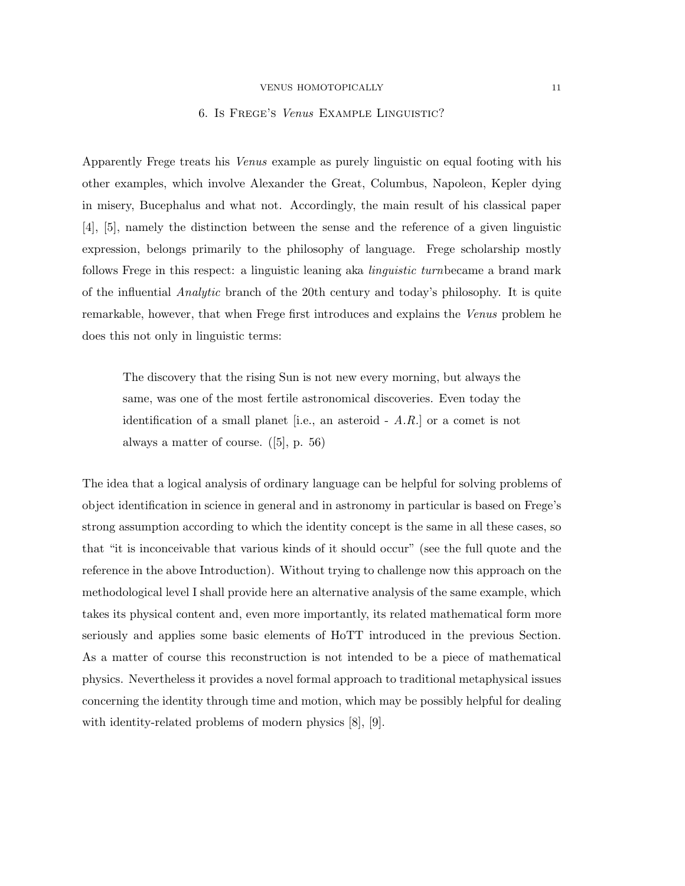## 6. Is Frege's Venus Example Linguistic?

Apparently Frege treats his Venus example as purely linguistic on equal footing with his other examples, which involve Alexander the Great, Columbus, Napoleon, Kepler dying in misery, Bucephalus and what not. Accordingly, the main result of his classical paper [4], [5], namely the distinction between the sense and the reference of a given linguistic expression, belongs primarily to the philosophy of language. Frege scholarship mostly follows Frege in this respect: a linguistic leaning aka *linguistic turnbecame* a brand mark of the influential Analytic branch of the 20th century and today's philosophy. It is quite remarkable, however, that when Frege first introduces and explains the Venus problem he does this not only in linguistic terms:

The discovery that the rising Sun is not new every morning, but always the same, was one of the most fertile astronomical discoveries. Even today the identification of a small planet [i.e., an asteroid  $- A.R.$ ] or a comet is not always a matter of course. ([5], p. 56)

The idea that a logical analysis of ordinary language can be helpful for solving problems of object identification in science in general and in astronomy in particular is based on Frege's strong assumption according to which the identity concept is the same in all these cases, so that "it is inconceivable that various kinds of it should occur" (see the full quote and the reference in the above Introduction). Without trying to challenge now this approach on the methodological level I shall provide here an alternative analysis of the same example, which takes its physical content and, even more importantly, its related mathematical form more seriously and applies some basic elements of HoTT introduced in the previous Section. As a matter of course this reconstruction is not intended to be a piece of mathematical physics. Nevertheless it provides a novel formal approach to traditional metaphysical issues concerning the identity through time and motion, which may be possibly helpful for dealing with identity-related problems of modern physics [8], [9].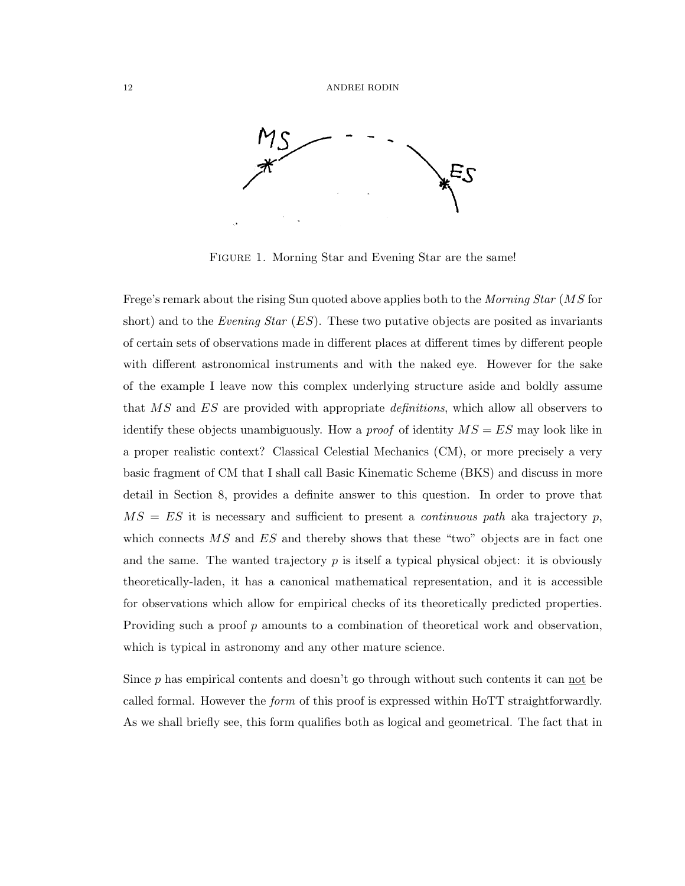

FIGURE 1. Morning Star and Evening Star are the same!

Frege's remark about the rising Sun quoted above applies both to the *Morning Star (MS* for short) and to the Evening Star  $(ES)$ . These two putative objects are posited as invariants of certain sets of observations made in different places at different times by different people with different astronomical instruments and with the naked eye. However for the sake of the example I leave now this complex underlying structure aside and boldly assume that MS and ES are provided with appropriate definitions, which allow all observers to identify these objects unambiguously. How a *proof* of identity  $MS = ES$  may look like in a proper realistic context? Classical Celestial Mechanics (CM), or more precisely a very basic fragment of CM that I shall call Basic Kinematic Scheme (BKS) and discuss in more detail in Section 8, provides a definite answer to this question. In order to prove that  $MS = ES$  it is necessary and sufficient to present a *continuous path* aka trajectory p, which connects  $\overline{MS}$  and  $\overline{ES}$  and thereby shows that these "two" objects are in fact one and the same. The wanted trajectory  $p$  is itself a typical physical object: it is obviously theoretically-laden, it has a canonical mathematical representation, and it is accessible for observations which allow for empirical checks of its theoretically predicted properties. Providing such a proof  $p$  amounts to a combination of theoretical work and observation, which is typical in astronomy and any other mature science.

Since  $p$  has empirical contents and doesn't go through without such contents it can not be called formal. However the *form* of this proof is expressed within HoTT straightforwardly. As we shall briefly see, this form qualifies both as logical and geometrical. The fact that in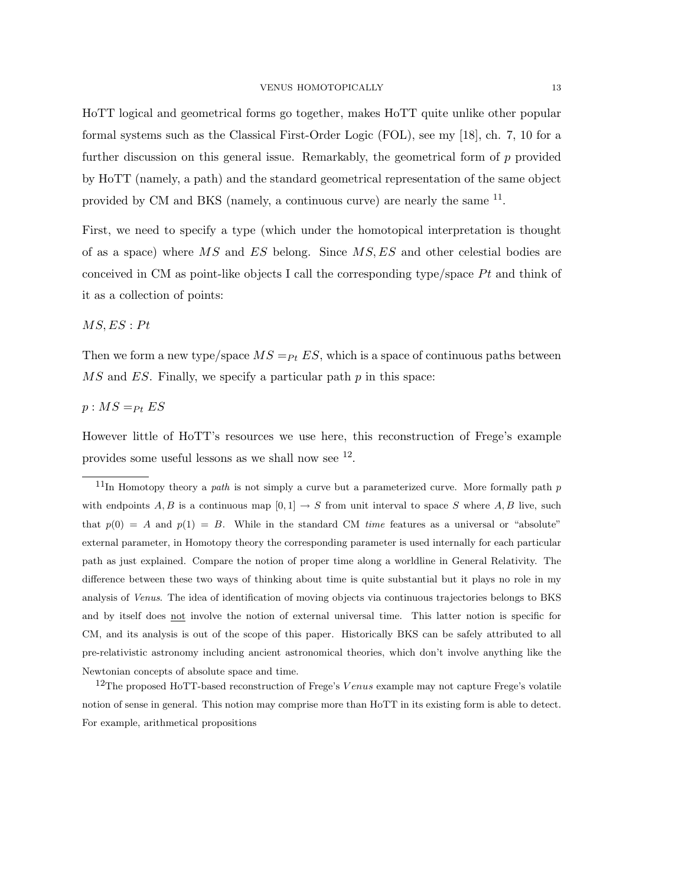HoTT logical and geometrical forms go together, makes HoTT quite unlike other popular formal systems such as the Classical First-Order Logic (FOL), see my [18], ch. 7, 10 for a further discussion on this general issue. Remarkably, the geometrical form of  $p$  provided by HoTT (namely, a path) and the standard geometrical representation of the same object provided by CM and BKS (namely, a continuous curve) are nearly the same <sup>11</sup>.

First, we need to specify a type (which under the homotopical interpretation is thought of as a space) where MS and ES belong. Since MS, ES and other celestial bodies are conceived in CM as point-like objects I call the corresponding type/space  $Pt$  and think of it as a collection of points:

# $MS, ES : Pt$

Then we form a new type/space  $MS =_{Pt} ES$ , which is a space of continuous paths between  $MS$  and ES. Finally, we specify a particular path p in this space:

# $p : MS =_{Pt} ES$

However little of HoTT's resources we use here, this reconstruction of Frege's example provides some useful lessons as we shall now see  $^{12}$ .

 $11$ In Homotopy theory a *path* is not simply a curve but a parameterized curve. More formally path p with endpoints A, B is a continuous map  $[0, 1] \rightarrow S$  from unit interval to space S where A, B live, such that  $p(0) = A$  and  $p(1) = B$ . While in the standard CM time features as a universal or "absolute" external parameter, in Homotopy theory the corresponding parameter is used internally for each particular path as just explained. Compare the notion of proper time along a worldline in General Relativity. The difference between these two ways of thinking about time is quite substantial but it plays no role in my analysis of Venus. The idea of identification of moving objects via continuous trajectories belongs to BKS and by itself does not involve the notion of external universal time. This latter notion is specific for CM, and its analysis is out of the scope of this paper. Historically BKS can be safely attributed to all pre-relativistic astronomy including ancient astronomical theories, which don't involve anything like the Newtonian concepts of absolute space and time.

 $12$ The proposed HoTT-based reconstruction of Frege's Venus example may not capture Frege's volatile notion of sense in general. This notion may comprise more than HoTT in its existing form is able to detect. For example, arithmetical propositions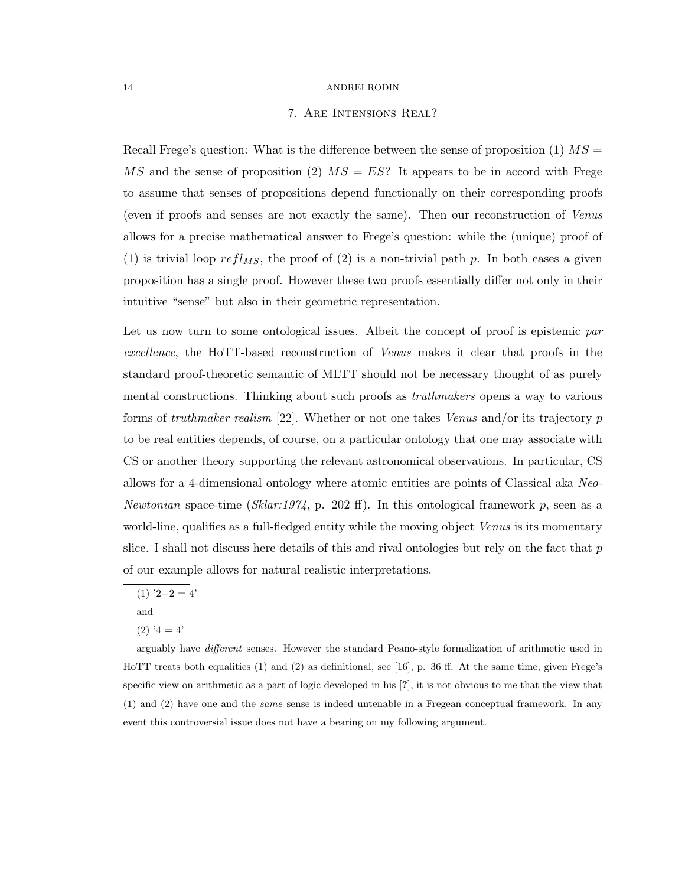# 7. Are Intensions Real?

Recall Frege's question: What is the difference between the sense of proposition  $(1)$   $MS =$ MS and the sense of proposition (2)  $MS = ES$ ? It appears to be in accord with Frege to assume that senses of propositions depend functionally on their corresponding proofs (even if proofs and senses are not exactly the same). Then our reconstruction of Venus allows for a precise mathematical answer to Frege's question: while the (unique) proof of (1) is trivial loop refl<sub>MS</sub>, the proof of (2) is a non-trivial path p. In both cases a given proposition has a single proof. However these two proofs essentially differ not only in their intuitive "sense" but also in their geometric representation.

Let us now turn to some ontological issues. Albeit the concept of proof is epistemic par excellence, the HoTT-based reconstruction of Venus makes it clear that proofs in the standard proof-theoretic semantic of MLTT should not be necessary thought of as purely mental constructions. Thinking about such proofs as *truthmakers* opens a way to various forms of truthmaker realism [22]. Whether or not one takes Venus and/or its trajectory p to be real entities depends, of course, on a particular ontology that one may associate with CS or another theory supporting the relevant astronomical observations. In particular, CS allows for a 4-dimensional ontology where atomic entities are points of Classical aka Neo-Newtonian space-time (Sklar:1974, p. 202 ff). In this ontological framework p, seen as a world-line, qualifies as a full-fledged entity while the moving object Venus is its momentary slice. I shall not discuss here details of this and rival ontologies but rely on the fact that  $p$ of our example allows for natural realistic interpretations.

and

 $(1)$  '2+2 = 4'

 $(2)$  '4 = 4'

arguably have different senses. However the standard Peano-style formalization of arithmetic used in HoTT treats both equalities (1) and (2) as definitional, see [16], p. 36 ff. At the same time, given Frege's specific view on arithmetic as a part of logic developed in his [?], it is not obvious to me that the view that (1) and (2) have one and the same sense is indeed untenable in a Fregean conceptual framework. In any event this controversial issue does not have a bearing on my following argument.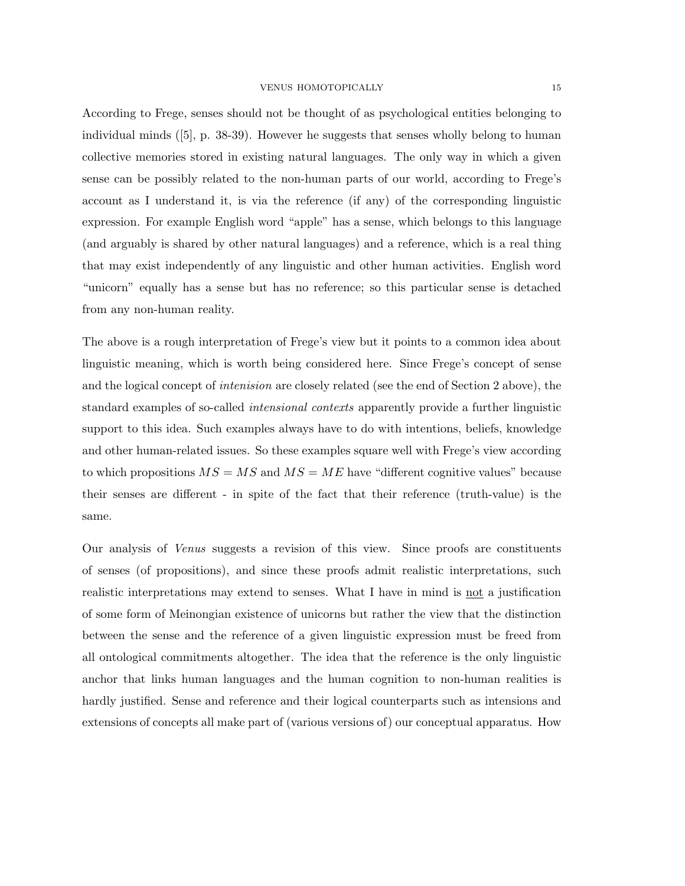According to Frege, senses should not be thought of as psychological entities belonging to individual minds ([5], p. 38-39). However he suggests that senses wholly belong to human collective memories stored in existing natural languages. The only way in which a given sense can be possibly related to the non-human parts of our world, according to Frege's account as I understand it, is via the reference (if any) of the corresponding linguistic expression. For example English word "apple" has a sense, which belongs to this language (and arguably is shared by other natural languages) and a reference, which is a real thing that may exist independently of any linguistic and other human activities. English word "unicorn" equally has a sense but has no reference; so this particular sense is detached from any non-human reality.

The above is a rough interpretation of Frege's view but it points to a common idea about linguistic meaning, which is worth being considered here. Since Frege's concept of sense and the logical concept of intenision are closely related (see the end of Section 2 above), the standard examples of so-called intensional contexts apparently provide a further linguistic support to this idea. Such examples always have to do with intentions, beliefs, knowledge and other human-related issues. So these examples square well with Frege's view according to which propositions  $MS = MS$  and  $MS = ME$  have "different cognitive values" because their senses are different - in spite of the fact that their reference (truth-value) is the same.

Our analysis of Venus suggests a revision of this view. Since proofs are constituents of senses (of propositions), and since these proofs admit realistic interpretations, such realistic interpretations may extend to senses. What I have in mind is not a justification of some form of Meinongian existence of unicorns but rather the view that the distinction between the sense and the reference of a given linguistic expression must be freed from all ontological commitments altogether. The idea that the reference is the only linguistic anchor that links human languages and the human cognition to non-human realities is hardly justified. Sense and reference and their logical counterparts such as intensions and extensions of concepts all make part of (various versions of) our conceptual apparatus. How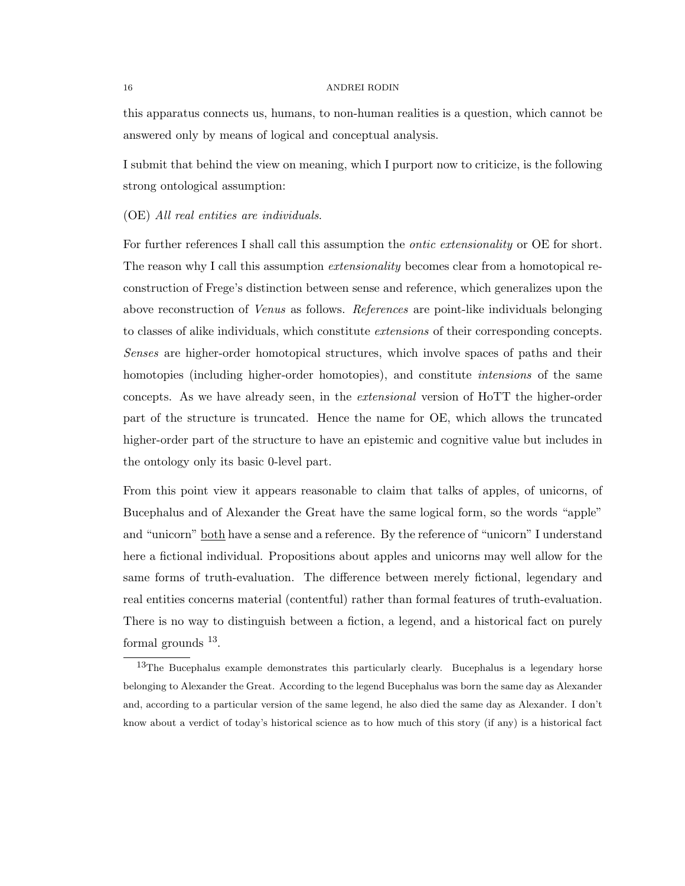this apparatus connects us, humans, to non-human realities is a question, which cannot be answered only by means of logical and conceptual analysis.

I submit that behind the view on meaning, which I purport now to criticize, is the following strong ontological assumption:

### (OE) All real entities are individuals.

For further references I shall call this assumption the *ontic extensionality* or OE for short. The reason why I call this assumption *extensionality* becomes clear from a homotopical reconstruction of Frege's distinction between sense and reference, which generalizes upon the above reconstruction of Venus as follows. References are point-like individuals belonging to classes of alike individuals, which constitute extensions of their corresponding concepts. Senses are higher-order homotopical structures, which involve spaces of paths and their homotopies (including higher-order homotopies), and constitute *intensions* of the same concepts. As we have already seen, in the extensional version of HoTT the higher-order part of the structure is truncated. Hence the name for OE, which allows the truncated higher-order part of the structure to have an epistemic and cognitive value but includes in the ontology only its basic 0-level part.

From this point view it appears reasonable to claim that talks of apples, of unicorns, of Bucephalus and of Alexander the Great have the same logical form, so the words "apple" and "unicorn" both have a sense and a reference. By the reference of "unicorn" I understand here a fictional individual. Propositions about apples and unicorns may well allow for the same forms of truth-evaluation. The difference between merely fictional, legendary and real entities concerns material (contentful) rather than formal features of truth-evaluation. There is no way to distinguish between a fiction, a legend, and a historical fact on purely formal grounds <sup>13</sup>.

<sup>&</sup>lt;sup>13</sup>The Bucephalus example demonstrates this particularly clearly. Bucephalus is a legendary horse belonging to Alexander the Great. According to the legend Bucephalus was born the same day as Alexander and, according to a particular version of the same legend, he also died the same day as Alexander. I don't know about a verdict of today's historical science as to how much of this story (if any) is a historical fact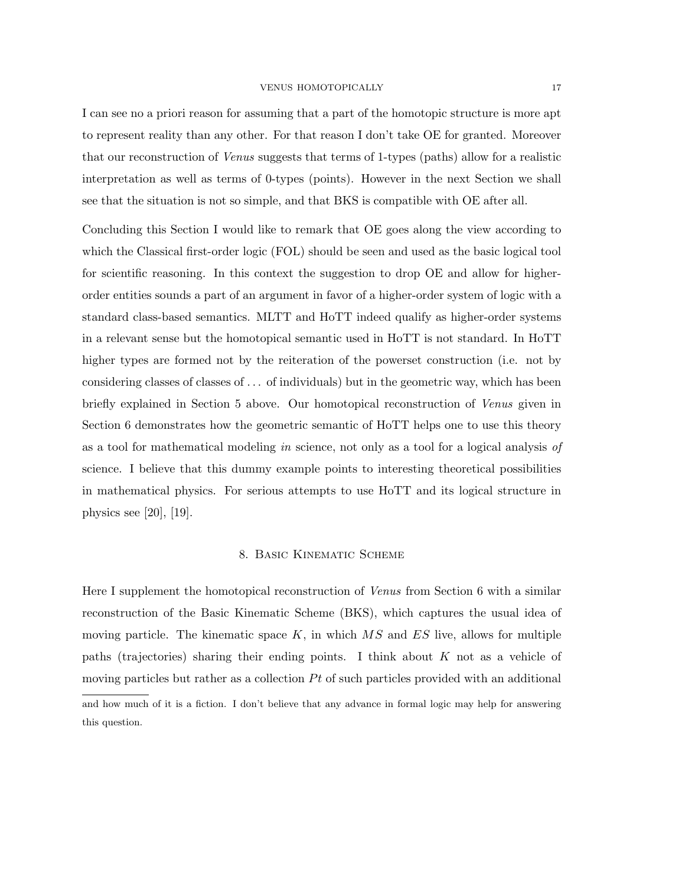I can see no a priori reason for assuming that a part of the homotopic structure is more apt to represent reality than any other. For that reason I don't take OE for granted. Moreover that our reconstruction of Venus suggests that terms of 1-types (paths) allow for a realistic interpretation as well as terms of 0-types (points). However in the next Section we shall see that the situation is not so simple, and that BKS is compatible with OE after all.

Concluding this Section I would like to remark that OE goes along the view according to which the Classical first-order logic (FOL) should be seen and used as the basic logical tool for scientific reasoning. In this context the suggestion to drop OE and allow for higherorder entities sounds a part of an argument in favor of a higher-order system of logic with a standard class-based semantics. MLTT and HoTT indeed qualify as higher-order systems in a relevant sense but the homotopical semantic used in HoTT is not standard. In HoTT higher types are formed not by the reiteration of the powerset construction (i.e. not by considering classes of classes of . . . of individuals) but in the geometric way, which has been briefly explained in Section 5 above. Our homotopical reconstruction of Venus given in Section 6 demonstrates how the geometric semantic of HoTT helps one to use this theory as a tool for mathematical modeling in science, not only as a tool for a logical analysis of science. I believe that this dummy example points to interesting theoretical possibilities in mathematical physics. For serious attempts to use HoTT and its logical structure in physics see [20], [19].

## 8. Basic Kinematic Scheme

Here I supplement the homotopical reconstruction of Venus from Section 6 with a similar reconstruction of the Basic Kinematic Scheme (BKS), which captures the usual idea of moving particle. The kinematic space  $K$ , in which  $MS$  and  $ES$  live, allows for multiple paths (trajectories) sharing their ending points. I think about K not as a vehicle of moving particles but rather as a collection  $Pt$  of such particles provided with an additional and how much of it is a fiction. I don't believe that any advance in formal logic may help for answering this question.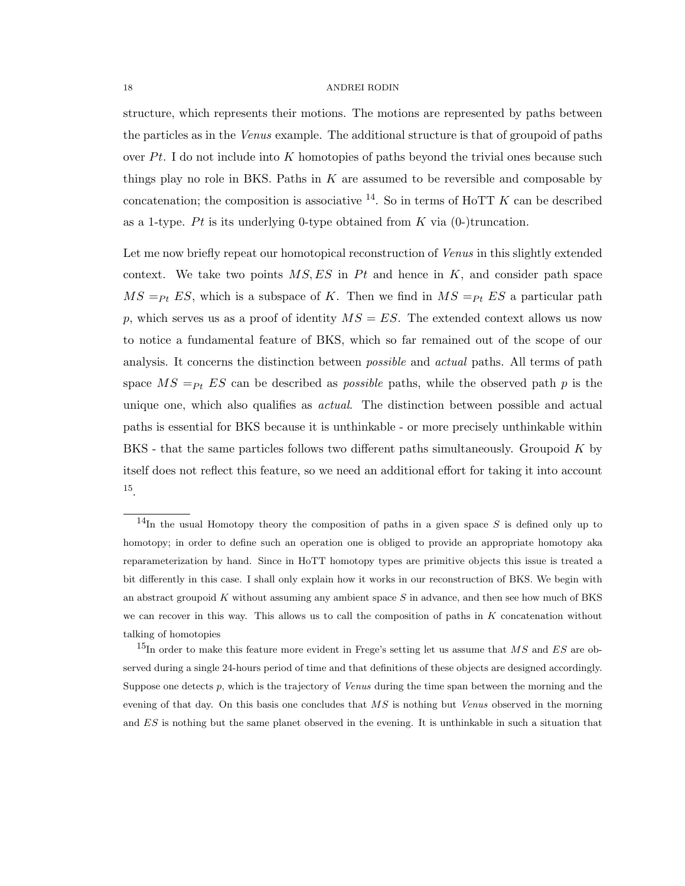structure, which represents their motions. The motions are represented by paths between the particles as in the Venus example. The additional structure is that of groupoid of paths over  $Pt$ . I do not include into K homotopies of paths beyond the trivial ones because such things play no role in BKS. Paths in  $K$  are assumed to be reversible and composable by concatenation; the composition is associative  $^{14}$ . So in terms of HoTT K can be described as a 1-type. Pt is its underlying 0-type obtained from K via  $(0-)$ truncation.

Let me now briefly repeat our homotopical reconstruction of *Venus* in this slightly extended context. We take two points  $MS, ES$  in Pt and hence in K, and consider path space  $MS =_{Pt} ES$ , which is a subspace of K. Then we find in  $MS =_{Pt} ES$  a particular path p, which serves us as a proof of identity  $MS = ES$ . The extended context allows us now to notice a fundamental feature of BKS, which so far remained out of the scope of our analysis. It concerns the distinction between *possible* and *actual* paths. All terms of path space  $MS =_{Pt} ES$  can be described as *possible* paths, while the observed path p is the unique one, which also qualifies as *actual*. The distinction between possible and actual paths is essential for BKS because it is unthinkable - or more precisely unthinkable within BKS - that the same particles follows two different paths simultaneously. Groupoid K by itself does not reflect this feature, so we need an additional effort for taking it into account 15 .

 $14$ In the usual Homotopy theory the composition of paths in a given space S is defined only up to homotopy; in order to define such an operation one is obliged to provide an appropriate homotopy aka reparameterization by hand. Since in HoTT homotopy types are primitive objects this issue is treated a bit differently in this case. I shall only explain how it works in our reconstruction of BKS. We begin with an abstract groupoid  $K$  without assuming any ambient space  $S$  in advance, and then see how much of BKS we can recover in this way. This allows us to call the composition of paths in  $K$  concatenation without talking of homotopies

<sup>&</sup>lt;sup>15</sup>In order to make this feature more evident in Frege's setting let us assume that  $MS$  and  $ES$  are observed during a single 24-hours period of time and that definitions of these objects are designed accordingly. Suppose one detects  $p$ , which is the trajectory of *Venus* during the time span between the morning and the evening of that day. On this basis one concludes that  $MS$  is nothing but *Venus* observed in the morning and ES is nothing but the same planet observed in the evening. It is unthinkable in such a situation that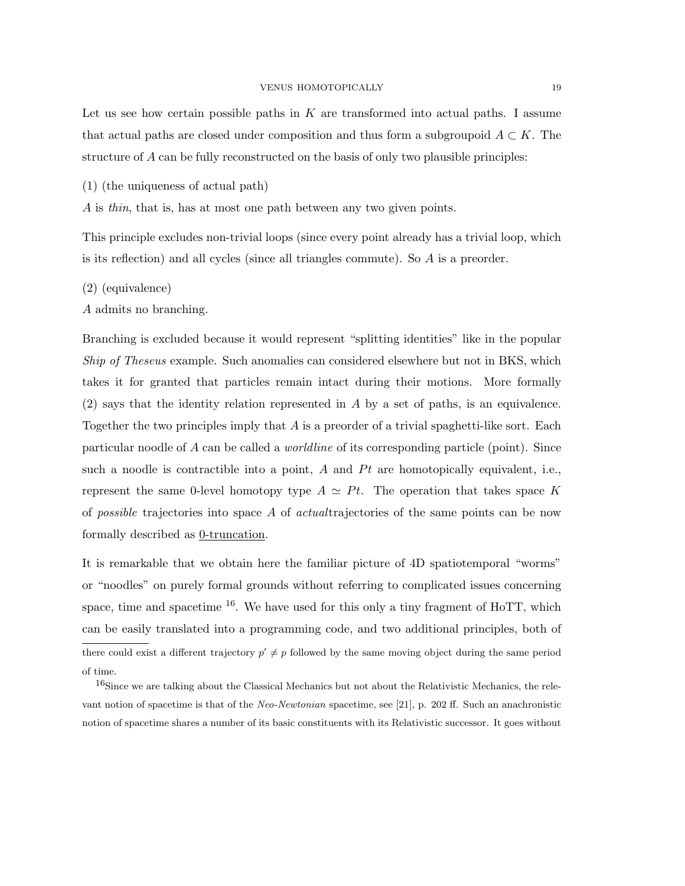Let us see how certain possible paths in  $K$  are transformed into actual paths. I assume that actual paths are closed under composition and thus form a subgroupoid  $A \subset K$ . The structure of A can be fully reconstructed on the basis of only two plausible principles:

(1) (the uniqueness of actual path)

A is *thin*, that is, has at most one path between any two given points.

This principle excludes non-trivial loops (since every point already has a trivial loop, which is its reflection) and all cycles (since all triangles commute). So A is a preorder.

- (2) (equivalence)
- A admits no branching.

Branching is excluded because it would represent "splitting identities" like in the popular Ship of Theseus example. Such anomalies can considered elsewhere but not in BKS, which takes it for granted that particles remain intact during their motions. More formally  $(2)$  says that the identity relation represented in A by a set of paths, is an equivalence. Together the two principles imply that A is a preorder of a trivial spaghetti-like sort. Each particular noodle of A can be called a worldline of its corresponding particle (point). Since such a noodle is contractible into a point, A and  $Pt$  are homotopically equivalent, i.e., represent the same 0-level homotopy type  $A \simeq Pt$ . The operation that takes space K of *possible* trajectories into space A of *actual* trajectories of the same points can be now formally described as  $0$ -truncation.

It is remarkable that we obtain here the familiar picture of 4D spatiotemporal "worms" or "noodles" on purely formal grounds without referring to complicated issues concerning space, time and spacetime  $^{16}$ . We have used for this only a tiny fragment of HoTT, which can be easily translated into a programming code, and two additional principles, both of there could exist a different trajectory  $p' \neq p$  followed by the same moving object during the same period of time.

<sup>16</sup>Since we are talking about the Classical Mechanics but not about the Relativistic Mechanics, the relevant notion of spacetime is that of the Neo-Newtonian spacetime, see [21], p. 202 ff. Such an anachronistic notion of spacetime shares a number of its basic constituents with its Relativistic successor. It goes without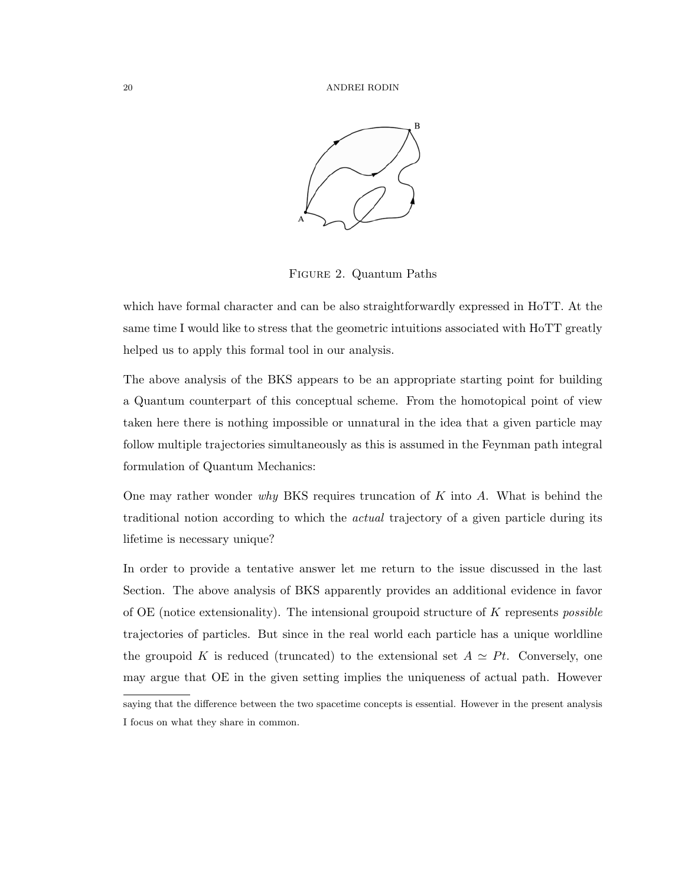

Figure 2. Quantum Paths

which have formal character and can be also straightforwardly expressed in HoTT. At the same time I would like to stress that the geometric intuitions associated with HoTT greatly helped us to apply this formal tool in our analysis.

The above analysis of the BKS appears to be an appropriate starting point for building a Quantum counterpart of this conceptual scheme. From the homotopical point of view taken here there is nothing impossible or unnatural in the idea that a given particle may follow multiple trajectories simultaneously as this is assumed in the Feynman path integral formulation of Quantum Mechanics:

One may rather wonder why BKS requires truncation of  $K$  into  $A$ . What is behind the traditional notion according to which the actual trajectory of a given particle during its lifetime is necessary unique?

In order to provide a tentative answer let me return to the issue discussed in the last Section. The above analysis of BKS apparently provides an additional evidence in favor of  $OE$  (notice extensionality). The intensional groupoid structure of  $K$  represents *possible* trajectories of particles. But since in the real world each particle has a unique worldline the groupoid K is reduced (truncated) to the extensional set  $A \simeq Pt$ . Conversely, one may argue that OE in the given setting implies the uniqueness of actual path. However

saying that the difference between the two spacetime concepts is essential. However in the present analysis I focus on what they share in common.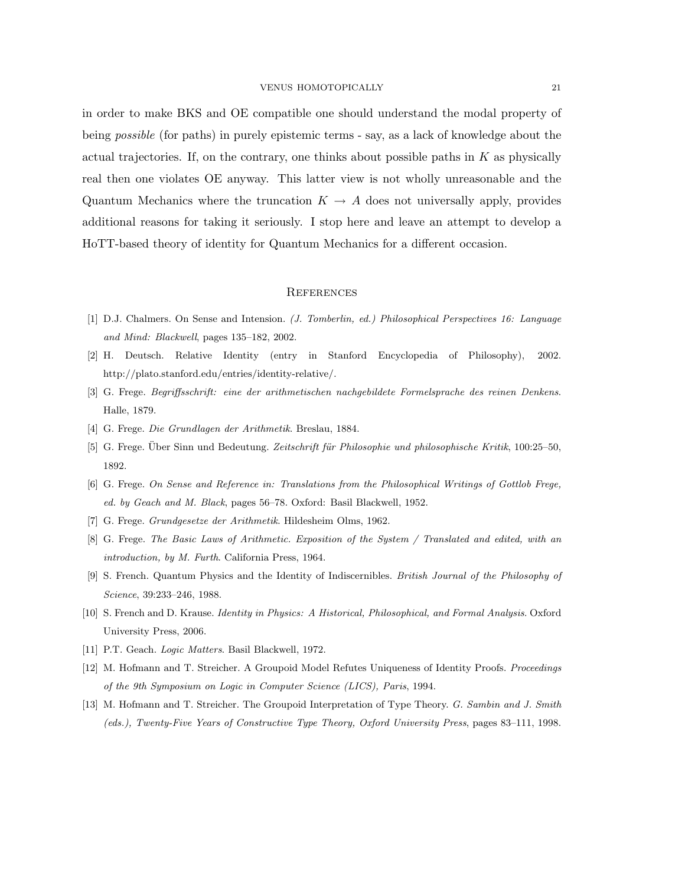in order to make BKS and OE compatible one should understand the modal property of being possible (for paths) in purely epistemic terms - say, as a lack of knowledge about the actual trajectories. If, on the contrary, one thinks about possible paths in  $K$  as physically real then one violates OE anyway. This latter view is not wholly unreasonable and the Quantum Mechanics where the truncation  $K \to A$  does not universally apply, provides additional reasons for taking it seriously. I stop here and leave an attempt to develop a HoTT-based theory of identity for Quantum Mechanics for a different occasion.

#### **REFERENCES**

- [1] D.J. Chalmers. On Sense and Intension. (J. Tomberlin, ed.) Philosophical Perspectives 16: Language and Mind: Blackwell, pages 135–182, 2002.
- [2] H. Deutsch. Relative Identity (entry in Stanford Encyclopedia of Philosophy), 2002. http://plato.stanford.edu/entries/identity-relative/.
- [3] G. Frege. Begriffsschrift: eine der arithmetischen nachgebildete Formelsprache des reinen Denkens. Halle, 1879.
- [4] G. Frege. Die Grundlagen der Arithmetik. Breslau, 1884.
- [5] G. Frege. Über Sinn und Bedeutung. Zeitschrift für Philosophie und philosophische Kritik, 100:25–50, 1892.
- [6] G. Frege. On Sense and Reference in: Translations from the Philosophical Writings of Gottlob Frege, ed. by Geach and M. Black, pages 56–78. Oxford: Basil Blackwell, 1952.
- [7] G. Frege. Grundgesetze der Arithmetik. Hildesheim Olms, 1962.
- [8] G. Frege. The Basic Laws of Arithmetic. Exposition of the System / Translated and edited, with an introduction, by M. Furth. California Press, 1964.
- [9] S. French. Quantum Physics and the Identity of Indiscernibles. British Journal of the Philosophy of Science, 39:233–246, 1988.
- [10] S. French and D. Krause. Identity in Physics: A Historical, Philosophical, and Formal Analysis. Oxford University Press, 2006.
- [11] P.T. Geach. Logic Matters. Basil Blackwell, 1972.
- [12] M. Hofmann and T. Streicher. A Groupoid Model Refutes Uniqueness of Identity Proofs. Proceedings of the 9th Symposium on Logic in Computer Science (LICS), Paris, 1994.
- [13] M. Hofmann and T. Streicher. The Groupoid Interpretation of Type Theory. G. Sambin and J. Smith (eds.), Twenty-Five Years of Constructive Type Theory, Oxford University Press, pages 83–111, 1998.